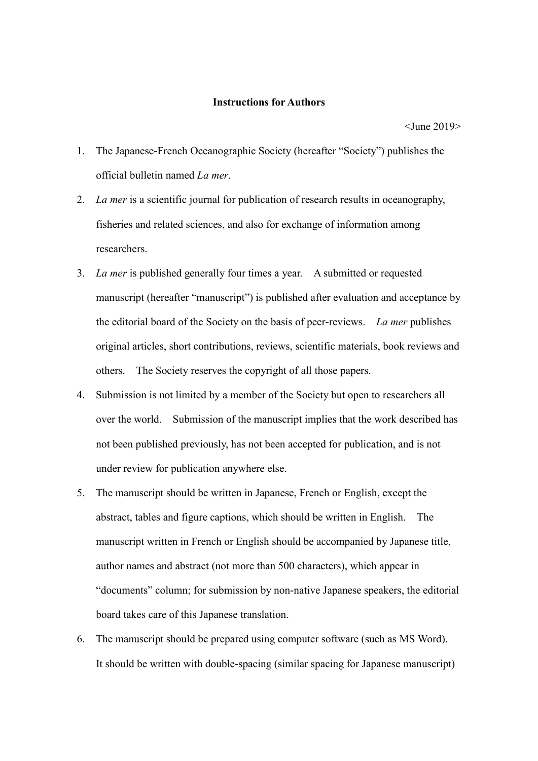## **Instructions for Authors**

<June 2019>

- 1. The Japanese-French Oceanographic Society (hereafter "Society") publishes the official bulletin named *La mer*.
- 2. *La mer* is a scientific journal for publication of research results in oceanography, fisheries and related sciences, and also for exchange of information among researchers.
- 3. *La mer* is published generally four times a year. A submitted or requested manuscript (hereafter "manuscript") is published after evaluation and acceptance by the editorial board of the Society on the basis of peer-reviews. *La mer* publishes original articles, short contributions, reviews, scientific materials, book reviews and others. The Society reserves the copyright of all those papers.
- 4. Submission is not limited by a member of the Society but open to researchers all over the world. Submission of the manuscript implies that the work described has not been published previously, has not been accepted for publication, and is not under review for publication anywhere else.
- 5. The manuscript should be written in Japanese, French or English, except the abstract, tables and figure captions, which should be written in English. The manuscript written in French or English should be accompanied by Japanese title, author names and abstract (not more than 500 characters), which appear in "documents" column; for submission by non-native Japanese speakers, the editorial board takes care of this Japanese translation.
- 6. The manuscript should be prepared using computer software (such as MS Word). It should be written with double-spacing (similar spacing for Japanese manuscript)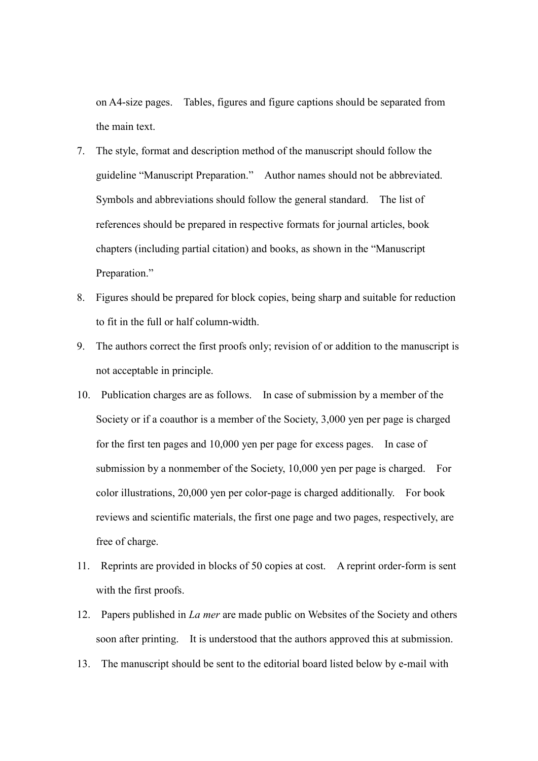on A4-size pages. Tables, figures and figure captions should be separated from the main text.

- 7. The style, format and description method of the manuscript should follow the guideline "Manuscript Preparation." Author names should not be abbreviated. Symbols and abbreviations should follow the general standard. The list of references should be prepared in respective formats for journal articles, book chapters (including partial citation) and books, as shown in the "Manuscript Preparation."
- 8. Figures should be prepared for block copies, being sharp and suitable for reduction to fit in the full or half column-width.
- 9. The authors correct the first proofs only; revision of or addition to the manuscript is not acceptable in principle.
- 10. Publication charges are as follows. In case of submission by a member of the Society or if a coauthor is a member of the Society, 3,000 yen per page is charged for the first ten pages and 10,000 yen per page for excess pages. In case of submission by a nonmember of the Society, 10,000 yen per page is charged. For color illustrations, 20,000 yen per color-page is charged additionally. For book reviews and scientific materials, the first one page and two pages, respectively, are free of charge.
- 11. Reprints are provided in blocks of 50 copies at cost. A reprint order-form is sent with the first proofs.
- 12. Papers published in *La mer* are made public on Websites of the Society and others soon after printing. It is understood that the authors approved this at submission.
- 13. The manuscript should be sent to the editorial board listed below by e-mail with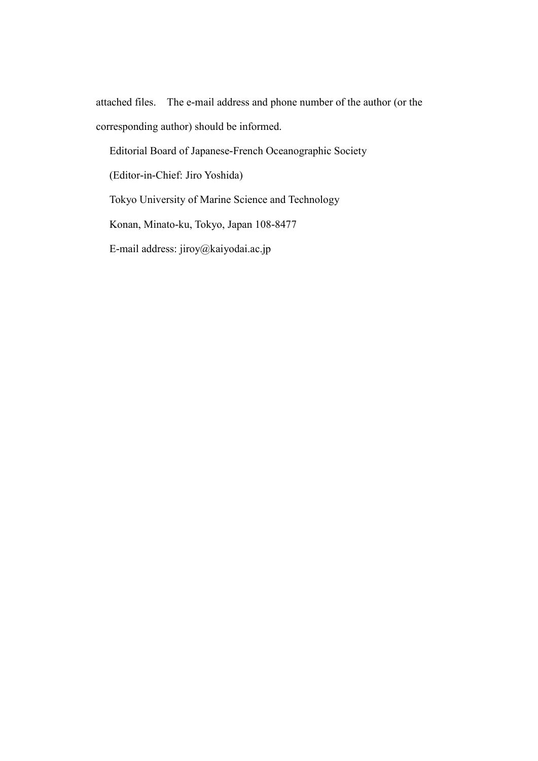attached files. The e-mail address and phone number of the author (or the corresponding author) should be informed.

Editorial Board of Japanese-French Oceanographic Society

(Editor-in-Chief: Jiro Yoshida)

Tokyo University of Marine Science and Technology

Konan, Minato-ku, Tokyo, Japan 108-8477

E-mail address: jiroy@kaiyodai.ac.jp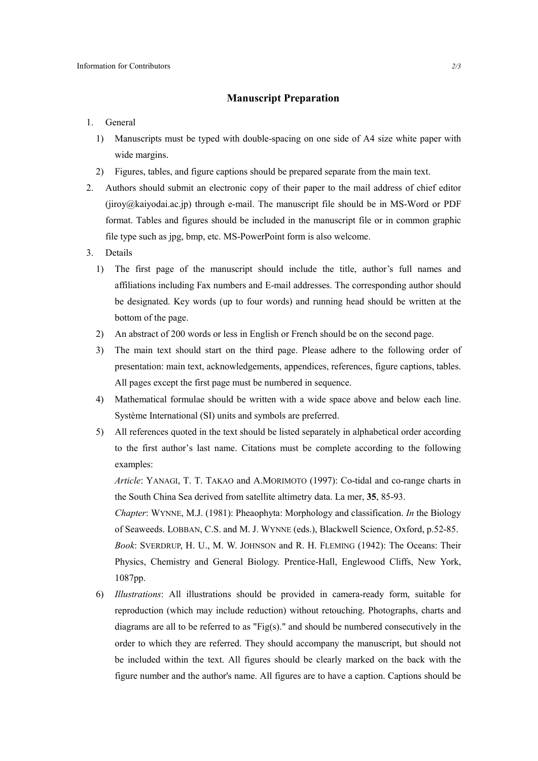## **Manuscript Preparation**

## 1. General

- 1) Manuscripts must be typed with double-spacing on one side of A4 size white paper with wide margins.
- 2) Figures, tables, and figure captions should be prepared separate from the main text.
- 2. Authors should submit an electronic copy of their paper to the mail address of chief editor (jiroy@kaiyodai.ac.jp) through e-mail. The manuscript file should be in MS-Word or PDF format. Tables and figures should be included in the manuscript file or in common graphic file type such as jpg, bmp, etc. MS-PowerPoint form is also welcome.
- 3. Details
	- 1) The first page of the manuscript should include the title, author's full names and affiliations including Fax numbers and E-mail addresses. The corresponding author should be designated. Key words (up to four words) and running head should be written at the bottom of the page.
	- 2) An abstract of 200 words or less in English or French should be on the second page.
	- 3) The main text should start on the third page. Please adhere to the following order of presentation: main text, acknowledgements, appendices, references, figure captions, tables. All pages except the first page must be numbered in sequence.
	- 4) Mathematical formulae should be written with a wide space above and below each line. Système International (SI) units and symbols are preferred.
	- 5) All references quoted in the text should be listed separately in alphabetical order according to the first author's last name. Citations must be complete according to the following examples:

*Article*: YANAGI, T. T. TAKAO and A.MORIMOTO (1997): Co-tidal and co-range charts in the South China Sea derived from satellite altimetry data. La mer, **35**, 85-93.

*Chapter*: WYNNE, M.J. (1981): Pheaophyta: Morphology and classification. *In* the Biology of Seaweeds. LOBBAN, C.S. and M. J. WYNNE (eds.), Blackwell Science, Oxford, p.52-85. *Book*: SVERDRUP, H. U., M. W. JOHNSON and R. H. FLEMING (1942): The Oceans: Their Physics, Chemistry and General Biology. Prentice-Hall, Englewood Cliffs, New York, 1087pp.

6) *Illustrations*: All illustrations should be provided in camera-ready form, suitable for reproduction (which may include reduction) without retouching. Photographs, charts and diagrams are all to be referred to as "Fig(s)." and should be numbered consecutively in the order to which they are referred. They should accompany the manuscript, but should not be included within the text. All figures should be clearly marked on the back with the figure number and the author's name. All figures are to have a caption. Captions should be